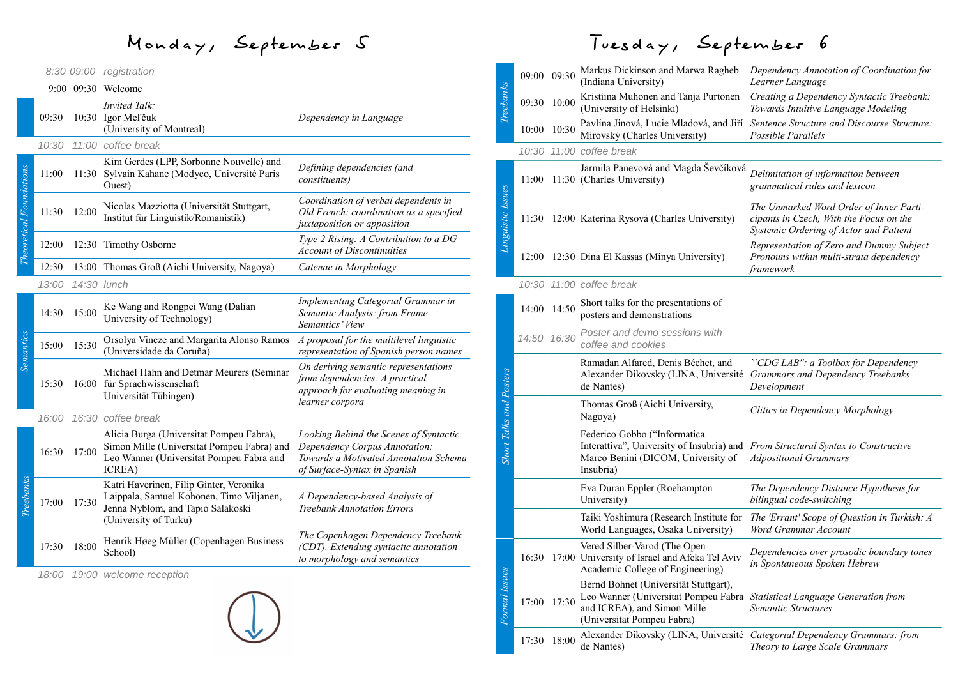## Monday, September 5

|                                |       |             | 8:30 09:00 registration                                                                                                                           |                                                                                                                                                  |
|--------------------------------|-------|-------------|---------------------------------------------------------------------------------------------------------------------------------------------------|--------------------------------------------------------------------------------------------------------------------------------------------------|
|                                |       |             | 9:00 09:30 Welcome                                                                                                                                |                                                                                                                                                  |
|                                | 09:30 |             | <b>Invited Talk:</b><br>10:30 Igor Mel'čuk<br>(University of Montreal)                                                                            | Dependency in Language                                                                                                                           |
|                                | 10:30 |             | 11:00 coffee break                                                                                                                                |                                                                                                                                                  |
| <b>Theoretical Foundations</b> | 11:00 |             | Kim Gerdes (LPP, Sorbonne Nouvelle) and<br>11:30 Sylvain Kahane (Modyco, Université Paris<br>Ouest)                                               | Defining dependencies (and<br>constituents)                                                                                                      |
|                                | 11:30 | 12:00       | Nicolas Mazziotta (Universität Stuttgart,<br>Institut für Linguistik/Romanistik)                                                                  | Coordination of verbal dependents in<br>Old French: coordination as a specified<br>juxtaposition or apposition                                   |
|                                | 12:00 |             | 12:30 Timothy Osborne                                                                                                                             | Type 2 Rising: A Contribution to a DG<br><b>Account of Discontinuities</b>                                                                       |
|                                | 12:30 |             | 13:00 Thomas Groß (Aichi University, Nagoya)                                                                                                      | Catenae in Morphology                                                                                                                            |
|                                | 13:00 | 14:30 lunch |                                                                                                                                                   |                                                                                                                                                  |
| Semantics                      | 14:30 | 15:00       | Ke Wang and Rongpei Wang (Dalian<br>University of Technology)                                                                                     | Implementing Categorial Grammar in<br>Semantic Analysis: from Frame<br>Semantics' View                                                           |
|                                | 15:00 | 15:30       | Orsolya Vincze and Margarita Alonso Ramos<br>(Universidade da Coruña)                                                                             | A proposal for the multilevel linguistic<br>representation of Spanish person names                                                               |
|                                | 15:30 |             | Michael Hahn and Detmar Meurers (Seminar<br>16:00 für Sprachwissenschaft<br>Universität Tübingen)                                                 | On deriving semantic representations<br>from dependencies: A practical<br>approach for evaluating meaning in<br>learner corpora                  |
|                                | 16:00 |             | 16:30 coffee break                                                                                                                                |                                                                                                                                                  |
| Treebanks                      | 16:30 | 17:00       | Alicia Burga (Universitat Pompeu Fabra),<br>Simon Mille (Universitat Pompeu Fabra) and<br>Leo Wanner (Universitat Pompeu Fabra and<br>ICREA)      | Looking Behind the Scenes of Syntactic<br>Dependency Corpus Annotation:<br>Towards a Motivated Annotation Schema<br>of Surface-Syntax in Spanish |
|                                | 17:00 | 17:30       | Katri Haverinen, Filip Ginter, Veronika<br>Laippala, Samuel Kohonen, Timo Viljanen,<br>Jenna Nyblom, and Tapio Salakoski<br>(University of Turku) | A Dependency-based Analysis of<br><b>Treebank Annotation Errors</b>                                                                              |
|                                | 17:30 | 18:00       | Henrik Høeg Müller (Copenhagen Business<br>School)                                                                                                | The Copenhagen Dependency Treebank<br>(CDT). Extending syntactic annotation<br>to morphology and semantics                                       |
|                                | 18:00 |             | 19:00 welcome reception                                                                                                                           |                                                                                                                                                  |
|                                |       |             |                                                                                                                                                   |                                                                                                                                                  |

## Tuesday, September 6

| Treebanks                      | 09:00 09:30 |             | Markus Dickinson and Marwa Ragheb<br>(Indiana University)                                                                                                                       | Dependency Annotation of Coordination for<br>Learner Language                                                                |
|--------------------------------|-------------|-------------|---------------------------------------------------------------------------------------------------------------------------------------------------------------------------------|------------------------------------------------------------------------------------------------------------------------------|
|                                | 09:30       | 10:00       | Kristiina Muhonen and Tanja Purtonen<br>(University of Helsinki)                                                                                                                | Creating a Dependency Syntactic Treebank:<br>Towards Intuitive Language Modeling                                             |
|                                | 10:00       | 10:30       | Pavlína Jinová, Lucie Mladová, and Jiří<br>Mírovský (Charles University)                                                                                                        | Sentence Structure and Discourse Structure:<br>Possible Parallels                                                            |
|                                |             |             | 10:30 11:00 coffee break                                                                                                                                                        |                                                                                                                              |
| Linguistic Issues              | 11:00       |             | Jarmila Panevová and Magda Ševčíková<br>11:30 (Charles University)                                                                                                              | Delimitation of information between<br>grammatical rules and lexicon                                                         |
|                                | 11:30       |             | 12:00 Katerina Rysová (Charles University)                                                                                                                                      | The Unmarked Word Order of Inner Parti-<br>cipants in Czech, With the Focus on the<br>Systemic Ordering of Actor and Patient |
|                                |             |             | 12:00 12:30 Dina El Kassas (Minya University)                                                                                                                                   | Representation of Zero and Dummy Subject<br>Pronouns within multi-strata dependency<br>framework                             |
|                                |             |             | 10:30 11:00 coffee break                                                                                                                                                        |                                                                                                                              |
| <b>Short Talks and Posters</b> | 14:00       | 14:50       | Short talks for the presentations of<br>posters and demonstrations                                                                                                              |                                                                                                                              |
|                                | 14:50 16:30 |             | Poster and demo sessions with<br>coffee and cookies                                                                                                                             |                                                                                                                              |
|                                |             |             | Ramadan Alfared, Denis Béchet, and<br>Alexander Dikovsky (LINA, Université<br>de Nantes)                                                                                        | "CDG LAB": a Toolbox for Dependency"<br>Grammars and Dependency Treebanks<br>Development                                     |
|                                |             |             | Thomas Groß (Aichi University,<br>Nagoya)                                                                                                                                       | Clitics in Dependency Morphology                                                                                             |
|                                |             |             | Federico Gobbo ("Informatica<br>Interattiva", University of Insubria) and From Structural Syntax to Constructive<br>Marco Benini (DICOM, University of<br>Insubria)             | <b>Adpositional Grammars</b>                                                                                                 |
|                                |             |             | Eva Duran Eppler (Roehampton<br>University)                                                                                                                                     | The Dependency Distance Hypothesis for<br>bilingual code-switching                                                           |
|                                |             |             | Taiki Yoshimura (Research Institute for<br>World Languages, Osaka University)                                                                                                   | The 'Errant' Scope of Question in Turkish: A<br>Word Grammar Account                                                         |
| Formal Issues                  |             |             | Vered Silber-Varod (The Open<br>16:30 17:00 University of Israel and Afeka Tel Aviv<br>Academic College of Engineering)                                                         | Dependencies over prosodic boundary tones<br>in Spontaneous Spoken Hebrew                                                    |
|                                |             | 17:00 17:30 | Bernd Bohnet (Universität Stuttgart),<br>Leo Wanner (Universitat Pompeu Fabra Statistical Language Generation from<br>and ICREA), and Simon Mille<br>(Universitat Pompeu Fabra) | Semantic Structures                                                                                                          |
|                                |             | 17:30 18:00 | de Nantes)                                                                                                                                                                      | Alexander Dikovsky (LINA, Université Categorial Dependency Grammars: from<br>Theory to Large Scale Grammars                  |